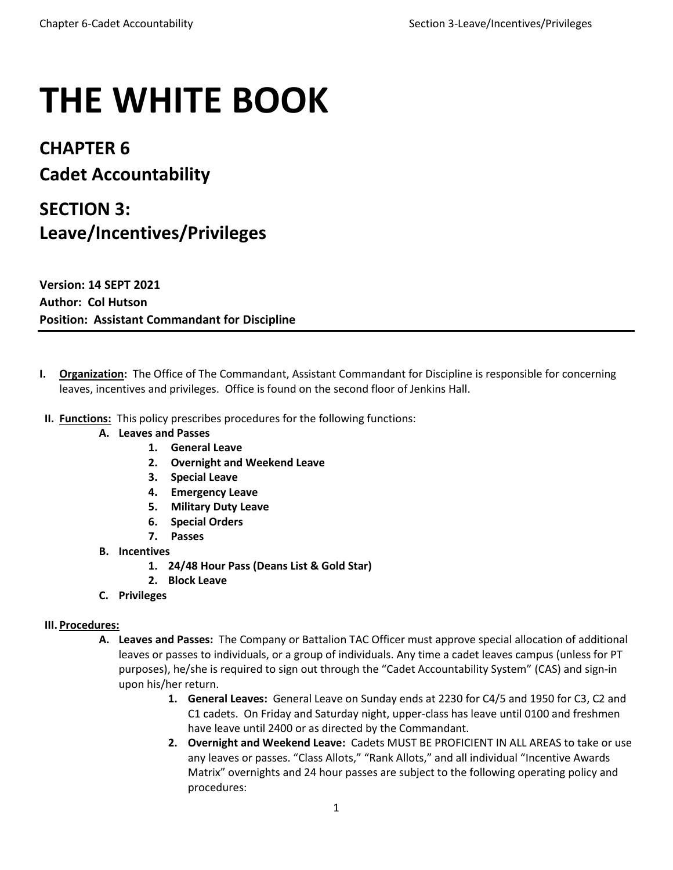# **THE WHITE BOOK**

### **CHAPTER 6 Cadet Accountability**

## **SECTION 3: Leave/Incentives/Privileges**

**Version: 14 SEPT 2021 Author: Col Hutson Position: Assistant Commandant for Discipline**

- **I. Organization:** The Office of The Commandant, Assistant Commandant for Discipline is responsible for concerning leaves, incentives and privileges. Office is found on the second floor of Jenkins Hall.
- **II. Functions:** This policy prescribes procedures for the following functions:
	- **A. Leaves and Passes**
		- **1. General Leave**
		- **2. Overnight and Weekend Leave**
		- **3. Special Leave**
		- **4. Emergency Leave**
		- **5. Military Duty Leave**
		- **6. Special Orders**
		- **7. Passes**
	- **B. Incentives**
		- **1. 24/48 Hour Pass (Deans List & Gold Star)**
		- **2. Block Leave**
	- **C. Privileges**

#### **III. Procedures:**

- **A. Leaves and Passes:** The Company or Battalion TAC Officer must approve special allocation of additional leaves or passes to individuals, or a group of individuals. Any time a cadet leaves campus (unless for PT purposes), he/she is required to sign out through the "Cadet Accountability System" (CAS) and sign-in upon his/her return.
	- **1. General Leaves:** General Leave on Sunday ends at 2230 for C4/5 and 1950 for C3, C2 and C1 cadets. On Friday and Saturday night, upper-class has leave until 0100 and freshmen have leave until 2400 or as directed by the Commandant.
	- **2. Overnight and Weekend Leave:** Cadets MUST BE PROFICIENT IN ALL AREAS to take or use any leaves or passes. "Class Allots," "Rank Allots," and all individual "Incentive Awards Matrix" overnights and 24 hour passes are subject to the following operating policy and procedures: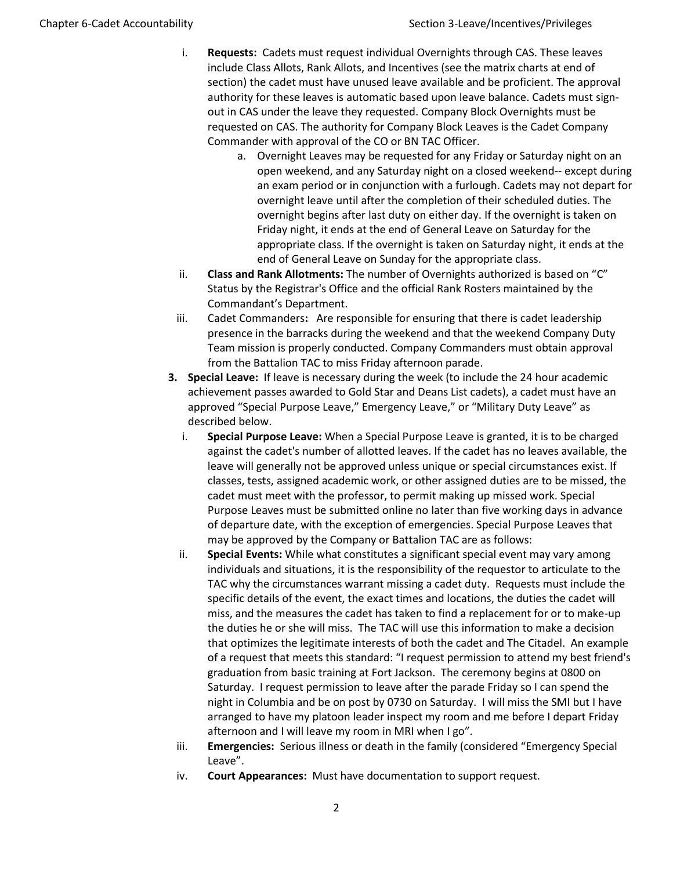- i. **Requests:** Cadets must request individual Overnights through CAS. These leaves include Class Allots, Rank Allots, and Incentives (see the matrix charts at end of section) the cadet must have unused leave available and be proficient. The approval authority for these leaves is automatic based upon leave balance. Cadets must signout in CAS under the leave they requested. Company Block Overnights must be requested on CAS. The authority for Company Block Leaves is the Cadet Company Commander with approval of the CO or BN TAC Officer.
	- a. Overnight Leaves may be requested for any Friday or Saturday night on an open weekend, and any Saturday night on a closed weekend-- except during an exam period or in conjunction with a furlough. Cadets may not depart for overnight leave until after the completion of their scheduled duties. The overnight begins after last duty on either day. If the overnight is taken on Friday night, it ends at the end of General Leave on Saturday for the appropriate class. If the overnight is taken on Saturday night, it ends at the end of General Leave on Sunday for the appropriate class.
- ii. **Class and Rank Allotments:** The number of Overnights authorized is based on "C" Status by the Registrar's Office and the official Rank Rosters maintained by the Commandant's Department.
- iii. Cadet Commanders**:** Are responsible for ensuring that there is cadet leadership presence in the barracks during the weekend and that the weekend Company Duty Team mission is properly conducted. Company Commanders must obtain approval from the Battalion TAC to miss Friday afternoon parade.
- **3. Special Leave:** If leave is necessary during the week (to include the 24 hour academic achievement passes awarded to Gold Star and Deans List cadets), a cadet must have an approved "Special Purpose Leave," Emergency Leave," or "Military Duty Leave" as described below.
	- i. **Special Purpose Leave:** When a Special Purpose Leave is granted, it is to be charged against the cadet's number of allotted leaves. If the cadet has no leaves available, the leave will generally not be approved unless unique or special circumstances exist. If classes, tests, assigned academic work, or other assigned duties are to be missed, the cadet must meet with the professor, to permit making up missed work. Special Purpose Leaves must be submitted online no later than five working days in advance of departure date, with the exception of emergencies. Special Purpose Leaves that may be approved by the Company or Battalion TAC are as follows:
	- ii. **Special Events:** While what constitutes a significant special event may vary among individuals and situations, it is the responsibility of the requestor to articulate to the TAC why the circumstances warrant missing a cadet duty. Requests must include the specific details of the event, the exact times and locations, the duties the cadet will miss, and the measures the cadet has taken to find a replacement for or to make-up the duties he or she will miss. The TAC will use this information to make a decision that optimizes the legitimate interests of both the cadet and The Citadel. An example of a request that meets this standard: "I request permission to attend my best friend's graduation from basic training at Fort Jackson. The ceremony begins at 0800 on Saturday. I request permission to leave after the parade Friday so I can spend the night in Columbia and be on post by 0730 on Saturday. I will miss the SMI but I have arranged to have my platoon leader inspect my room and me before I depart Friday afternoon and I will leave my room in MRI when I go".
	- iii. **Emergencies:** Serious illness or death in the family (considered "Emergency Special Leave".
	- iv. **Court Appearances:** Must have documentation to support request.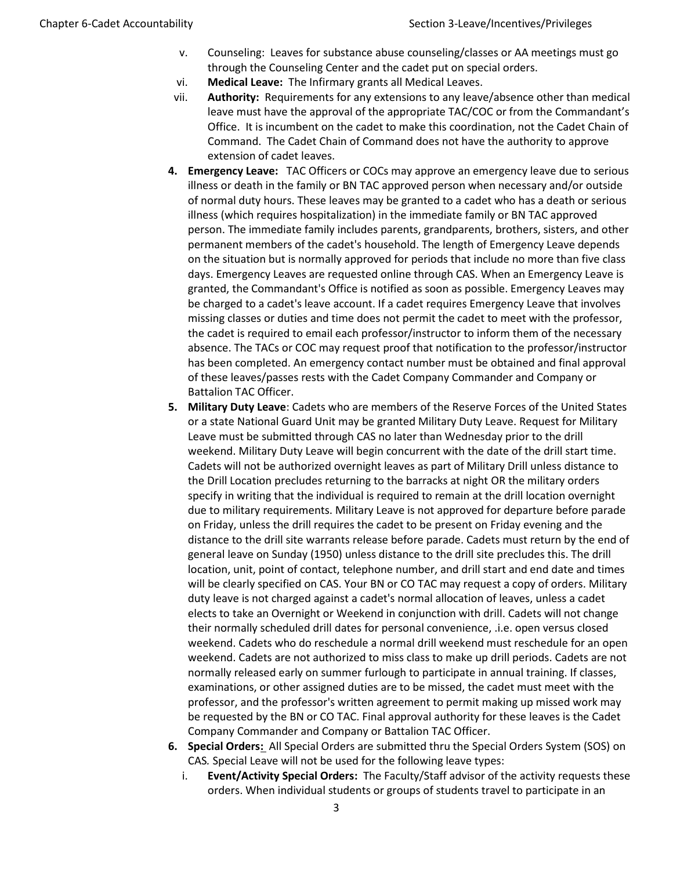- v. Counseling: Leaves for substance abuse counseling/classes or AA meetings must go through the Counseling Center and the cadet put on special orders.
- vi. **Medical Leave:** The Infirmary grants all Medical Leaves.
- vii. **Authority:** Requirements for any extensions to any leave/absence other than medical leave must have the approval of the appropriate TAC/COC or from the Commandant's Office. It is incumbent on the cadet to make this coordination, not the Cadet Chain of Command. The Cadet Chain of Command does not have the authority to approve extension of cadet leaves.
- **4. Emergency Leave:** TAC Officers or COCs may approve an emergency leave due to serious illness or death in the family or BN TAC approved person when necessary and/or outside of normal duty hours. These leaves may be granted to a cadet who has a death or serious illness (which requires hospitalization) in the immediate family or BN TAC approved person. The immediate family includes parents, grandparents, brothers, sisters, and other permanent members of the cadet's household. The length of Emergency Leave depends on the situation but is normally approved for periods that include no more than five class days. Emergency Leaves are requested online through CAS. When an Emergency Leave is granted, the Commandant's Office is notified as soon as possible. Emergency Leaves may be charged to a cadet's leave account. If a cadet requires Emergency Leave that involves missing classes or duties and time does not permit the cadet to meet with the professor, the cadet is required to email each professor/instructor to inform them of the necessary absence. The TACs or COC may request proof that notification to the professor/instructor has been completed. An emergency contact number must be obtained and final approval of these leaves/passes rests with the Cadet Company Commander and Company or Battalion TAC Officer.
- **5. Military Duty Leave**: Cadets who are members of the Reserve Forces of the United States or a state National Guard Unit may be granted Military Duty Leave. Request for Military Leave must be submitted through CAS no later than Wednesday prior to the drill weekend. Military Duty Leave will begin concurrent with the date of the drill start time. Cadets will not be authorized overnight leaves as part of Military Drill unless distance to the Drill Location precludes returning to the barracks at night OR the military orders specify in writing that the individual is required to remain at the drill location overnight due to military requirements. Military Leave is not approved for departure before parade on Friday, unless the drill requires the cadet to be present on Friday evening and the distance to the drill site warrants release before parade. Cadets must return by the end of general leave on Sunday (1950) unless distance to the drill site precludes this. The drill location, unit, point of contact, telephone number, and drill start and end date and times will be clearly specified on CAS. Your BN or CO TAC may request a copy of orders. Military duty leave is not charged against a cadet's normal allocation of leaves, unless a cadet elects to take an Overnight or Weekend in conjunction with drill. Cadets will not change their normally scheduled drill dates for personal convenience, .i.e. open versus closed weekend. Cadets who do reschedule a normal drill weekend must reschedule for an open weekend. Cadets are not authorized to miss class to make up drill periods. Cadets are not normally released early on summer furlough to participate in annual training. If classes, examinations, or other assigned duties are to be missed, the cadet must meet with the professor, and the professor's written agreement to permit making up missed work may be requested by the BN or CO TAC. Final approval authority for these leaves is the Cadet Company Commander and Company or Battalion TAC Officer.
- **6. Special Orders:** All Special Orders are submitted thru the Special Orders System (SOS) on CAS*.* Special Leave will not be used for the following leave types:
	- i. **Event/Activity Special Orders:** The Faculty/Staff advisor of the activity requests these orders. When individual students or groups of students travel to participate in an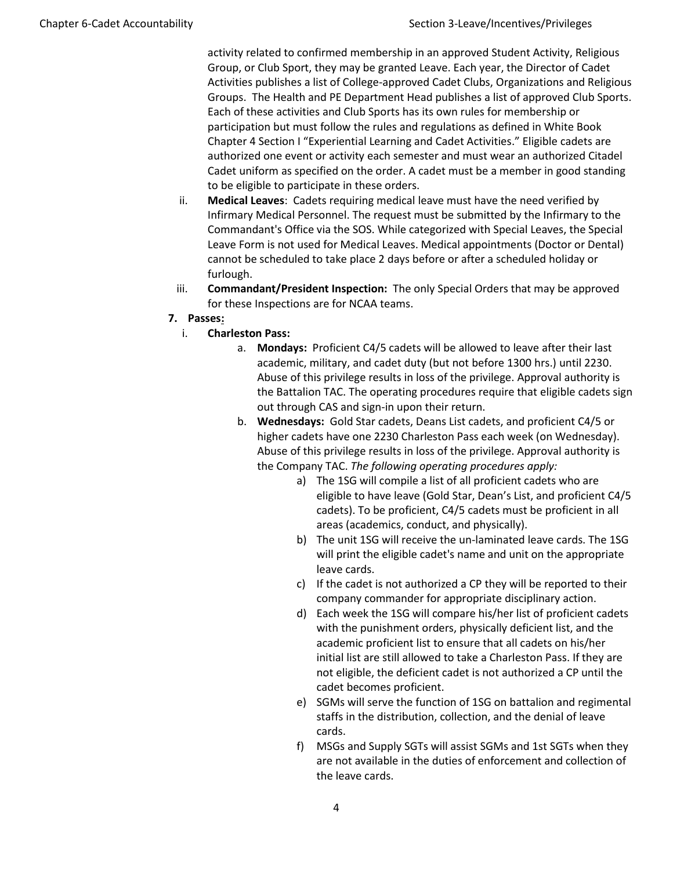activity related to confirmed membership in an approved Student Activity, Religious Group, or Club Sport, they may be granted Leave. Each year, the Director of Cadet Activities publishes a list of College-approved Cadet Clubs, Organizations and Religious Groups. The Health and PE Department Head publishes a list of approved Club Sports. Each of these activities and Club Sports has its own rules for membership or participation but must follow the rules and regulations as defined in White Book Chapter 4 Section I "Experiential Learning and Cadet Activities." Eligible cadets are authorized one event or activity each semester and must wear an authorized Citadel Cadet uniform as specified on the order. A cadet must be a member in good standing to be eligible to participate in these orders.

- ii. **Medical Leaves**: Cadets requiring medical leave must have the need verified by Infirmary Medical Personnel. The request must be submitted by the Infirmary to the Commandant's Office via the SOS. While categorized with Special Leaves, the Special Leave Form is not used for Medical Leaves. Medical appointments (Doctor or Dental) cannot be scheduled to take place 2 days before or after a scheduled holiday or furlough.
- iii. **Commandant/President Inspection:** The only Special Orders that may be approved for these Inspections are for NCAA teams.
- **7. Passes:**
	- i. **Charleston Pass:**
		- a. **Mondays:** Proficient C4/5 cadets will be allowed to leave after their last academic, military, and cadet duty (but not before 1300 hrs.) until 2230. Abuse of this privilege results in loss of the privilege. Approval authority is the Battalion TAC. The operating procedures require that eligible cadets sign out through CAS and sign-in upon their return.
		- b. **Wednesdays:** Gold Star cadets, Deans List cadets, and proficient C4/5 or higher cadets have one 2230 Charleston Pass each week (on Wednesday). Abuse of this privilege results in loss of the privilege. Approval authority is the Company TAC. *The following operating procedures apply:*
			- a) The 1SG will compile a list of all proficient cadets who are eligible to have leave (Gold Star, Dean's List, and proficient C4/5 cadets). To be proficient, C4/5 cadets must be proficient in all areas (academics, conduct, and physically).
			- b) The unit 1SG will receive the un-laminated leave cards. The 1SG will print the eligible cadet's name and unit on the appropriate leave cards.
			- c) If the cadet is not authorized a CP they will be reported to their company commander for appropriate disciplinary action.
			- d) Each week the 1SG will compare his/her list of proficient cadets with the punishment orders, physically deficient list, and the academic proficient list to ensure that all cadets on his/her initial list are still allowed to take a Charleston Pass. If they are not eligible, the deficient cadet is not authorized a CP until the cadet becomes proficient.
			- e) SGMs will serve the function of 1SG on battalion and regimental staffs in the distribution, collection, and the denial of leave cards.
			- f) MSGs and Supply SGTs will assist SGMs and 1st SGTs when they are not available in the duties of enforcement and collection of the leave cards.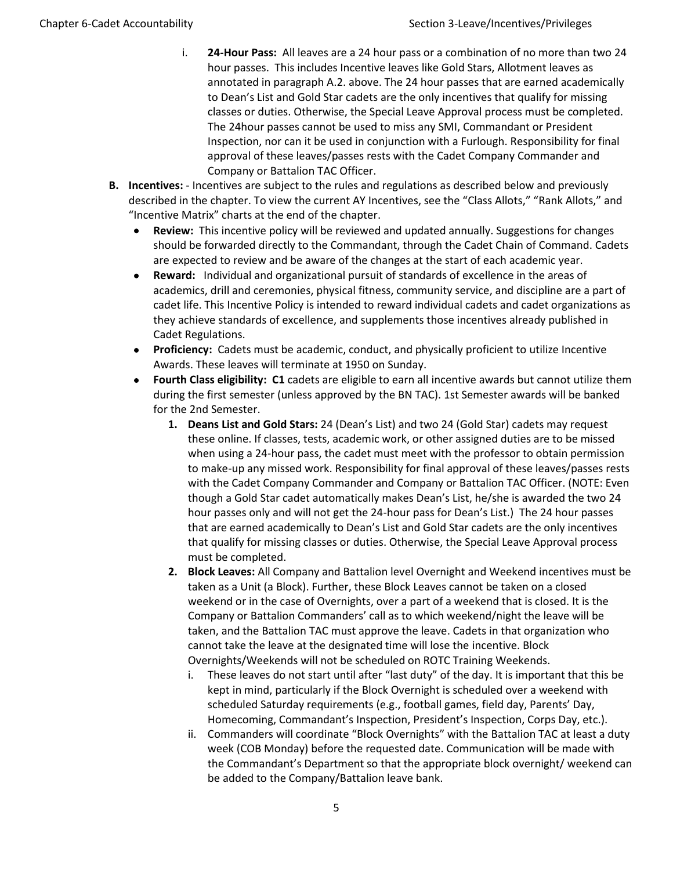- i. **24-Hour Pass:** All leaves are a 24 hour pass or a combination of no more than two 24 hour passes. This includes Incentive leaves like Gold Stars, Allotment leaves as annotated in paragraph A.2. above. The 24 hour passes that are earned academically to Dean's List and Gold Star cadets are the only incentives that qualify for missing classes or duties. Otherwise, the Special Leave Approval process must be completed. The 24hour passes cannot be used to miss any SMI, Commandant or President Inspection, nor can it be used in conjunction with a Furlough. Responsibility for final approval of these leaves/passes rests with the Cadet Company Commander and Company or Battalion TAC Officer.
- **B. Incentives:** Incentives are subject to the rules and regulations as described below and previously described in the chapter. To view the current AY Incentives, see the "Class Allots," "Rank Allots," and "Incentive Matrix" charts at the end of the chapter.
	- **Review:** This incentive policy will be reviewed and updated annually. Suggestions for changes should be forwarded directly to the Commandant, through the Cadet Chain of Command. Cadets are expected to review and be aware of the changes at the start of each academic year.
	- **Reward:** Individual and organizational pursuit of standards of excellence in the areas of academics, drill and ceremonies, physical fitness, community service, and discipline are a part of cadet life. This Incentive Policy is intended to reward individual cadets and cadet organizations as they achieve standards of excellence, and supplements those incentives already published in Cadet Regulations.
	- **Proficiency:** Cadets must be academic, conduct, and physically proficient to utilize Incentive Awards. These leaves will terminate at 1950 on Sunday.
	- **Fourth Class eligibility: C1** cadets are eligible to earn all incentive awards but cannot utilize them during the first semester (unless approved by the BN TAC). 1st Semester awards will be banked for the 2nd Semester.
		- **1. Deans List and Gold Stars:** 24 (Dean's List) and two 24 (Gold Star) cadets may request these online. If classes, tests, academic work, or other assigned duties are to be missed when using a 24-hour pass, the cadet must meet with the professor to obtain permission to make-up any missed work. Responsibility for final approval of these leaves/passes rests with the Cadet Company Commander and Company or Battalion TAC Officer. (NOTE: Even though a Gold Star cadet automatically makes Dean's List, he/she is awarded the two 24 hour passes only and will not get the 24-hour pass for Dean's List.) The 24 hour passes that are earned academically to Dean's List and Gold Star cadets are the only incentives that qualify for missing classes or duties. Otherwise, the Special Leave Approval process must be completed.
		- **2. Block Leaves:** All Company and Battalion level Overnight and Weekend incentives must be taken as a Unit (a Block). Further, these Block Leaves cannot be taken on a closed weekend or in the case of Overnights, over a part of a weekend that is closed. It is the Company or Battalion Commanders' call as to which weekend/night the leave will be taken, and the Battalion TAC must approve the leave. Cadets in that organization who cannot take the leave at the designated time will lose the incentive. Block Overnights/Weekends will not be scheduled on ROTC Training Weekends.
			- i. These leaves do not start until after "last duty" of the day. It is important that this be kept in mind, particularly if the Block Overnight is scheduled over a weekend with scheduled Saturday requirements (e.g., football games, field day, Parents' Day, Homecoming, Commandant's Inspection, President's Inspection, Corps Day, etc.).
			- ii. Commanders will coordinate "Block Overnights" with the Battalion TAC at least a duty week (COB Monday) before the requested date. Communication will be made with the Commandant's Department so that the appropriate block overnight/ weekend can be added to the Company/Battalion leave bank.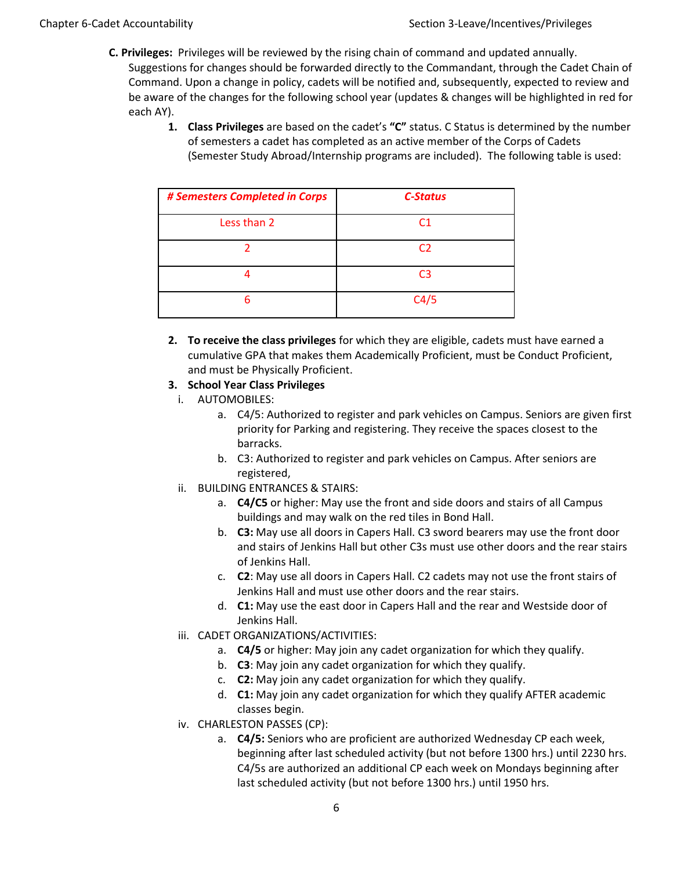- **C. Privileges:** Privileges will be reviewed by the rising chain of command and updated annually. Suggestions for changes should be forwarded directly to the Commandant, through the Cadet Chain of Command. Upon a change in policy, cadets will be notified and, subsequently, expected to review and be aware of the changes for the following school year (updates & changes will be highlighted in red for each AY).
	- **1. Class Privileges** are based on the cadet's **"C"** status. C Status is determined by the number of semesters a cadet has completed as an active member of the Corps of Cadets (Semester Study Abroad/Internship programs are included). The following table is used:

| # Semesters Completed in Corps | <b>C-Status</b> |
|--------------------------------|-----------------|
| Less than 2                    | C1              |
|                                | C <sub>2</sub>  |
|                                | C <sub>3</sub>  |
| 6                              | C4/5            |

**2. To receive the class privileges** for which they are eligible, cadets must have earned a cumulative GPA that makes them Academically Proficient, must be Conduct Proficient, and must be Physically Proficient.

#### **3. School Year Class Privileges**

- i. AUTOMOBILES:
	- a. C4/5: Authorized to register and park vehicles on Campus. Seniors are given first priority for Parking and registering. They receive the spaces closest to the barracks.
	- b. C3: Authorized to register and park vehicles on Campus. After seniors are registered,
- ii. BUILDING ENTRANCES & STAIRS:
	- a. **C4/C5** or higher: May use the front and side doors and stairs of all Campus buildings and may walk on the red tiles in Bond Hall.
	- b. **C3:** May use all doors in Capers Hall. C3 sword bearers may use the front door and stairs of Jenkins Hall but other C3s must use other doors and the rear stairs of Jenkins Hall.
	- c. **C2**: May use all doors in Capers Hall. C2 cadets may not use the front stairs of Jenkins Hall and must use other doors and the rear stairs.
	- d. **C1:** May use the east door in Capers Hall and the rear and Westside door of Jenkins Hall.
- iii. CADET ORGANIZATIONS/ACTIVITIES:
	- a. **C4/5** or higher: May join any cadet organization for which they qualify.
	- b. **C3**: May join any cadet organization for which they qualify.
	- c. **C2:** May join any cadet organization for which they qualify.
	- d. **C1:** May join any cadet organization for which they qualify AFTER academic classes begin.
- iv. CHARLESTON PASSES (CP):
	- a. **C4/5:** Seniors who are proficient are authorized Wednesday CP each week, beginning after last scheduled activity (but not before 1300 hrs.) until 2230 hrs. C4/5s are authorized an additional CP each week on Mondays beginning after last scheduled activity (but not before 1300 hrs.) until 1950 hrs.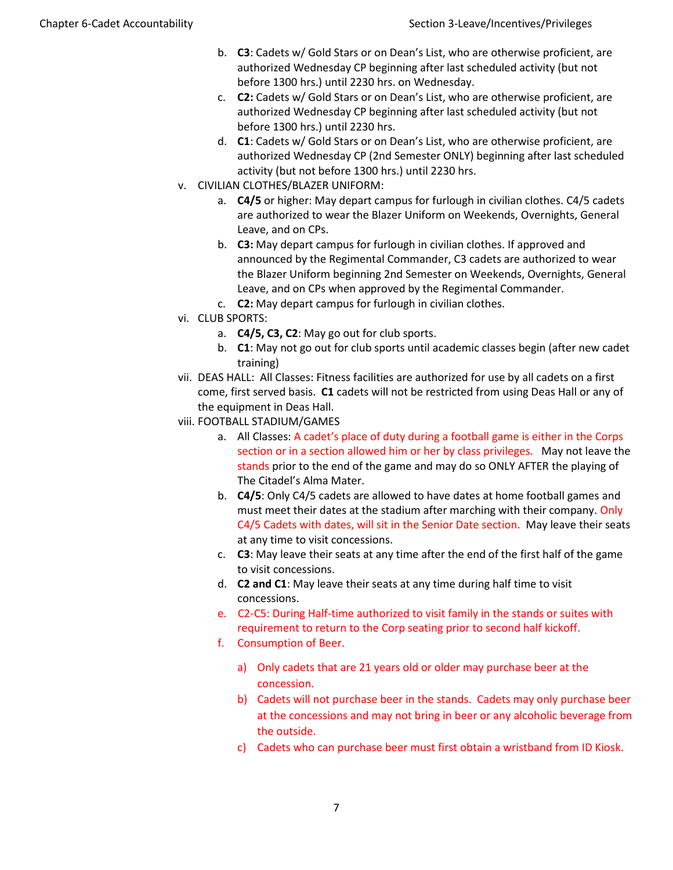- b. **C3**: Cadets w/ Gold Stars or on Dean's List, who are otherwise proficient, are authorized Wednesday CP beginning after last scheduled activity (but not before 1300 hrs.) until 2230 hrs. on Wednesday.
- c. **C2:** Cadets w/ Gold Stars or on Dean's List, who are otherwise proficient, are authorized Wednesday CP beginning after last scheduled activity (but not before 1300 hrs.) until 2230 hrs.
- d. **C1**: Cadets w/ Gold Stars or on Dean's List, who are otherwise proficient, are authorized Wednesday CP (2nd Semester ONLY) beginning after last scheduled activity (but not before 1300 hrs.) until 2230 hrs.
- v. CIVILIAN CLOTHES/BLAZER UNIFORM:
	- a. **C4/5** or higher: May depart campus for furlough in civilian clothes. C4/5 cadets are authorized to wear the Blazer Uniform on Weekends, Overnights, General Leave, and on CPs.
	- b. **C3:** May depart campus for furlough in civilian clothes. If approved and announced by the Regimental Commander, C3 cadets are authorized to wear the Blazer Uniform beginning 2nd Semester on Weekends, Overnights, General Leave, and on CPs when approved by the Regimental Commander.
	- c. **C2:** May depart campus for furlough in civilian clothes.
- vi. CLUB SPORTS:
	- a. **C4/5, C3, C2**: May go out for club sports.
	- b. **C1**: May not go out for club sports until academic classes begin (after new cadet training)
- vii. DEAS HALL: All Classes: Fitness facilities are authorized for use by all cadets on a first come, first served basis. **C1** cadets will not be restricted from using Deas Hall or any of the equipment in Deas Hall.
- viii. FOOTBALL STADIUM/GAMES
	- a. All Classes: A cadet's place of duty during a football game is either in the Corps section or in a section allowed him or her by class privileges. May not leave the stands prior to the end of the game and may do so ONLY AFTER the playing of The Citadel's Alma Mater.
	- b. **C4/5**: Only C4/5 cadets are allowed to have dates at home football games and must meet their dates at the stadium after marching with their company. Only C4/5 Cadets with dates, will sit in the Senior Date section. May leave their seats at any time to visit concessions.
	- c. **C3**: May leave their seats at any time after the end of the first half of the game to visit concessions.
	- d. **C2 and C1**: May leave their seats at any time during half time to visit concessions.
	- e. C2-C5: During Half-time authorized to visit family in the stands or suites with requirement to return to the Corp seating prior to second half kickoff.
	- f. Consumption of Beer.
		- a) Only cadets that are 21 years old or older may purchase beer at the concession.
		- b) Cadets will not purchase beer in the stands. Cadets may only purchase beer at the concessions and may not bring in beer or any alcoholic beverage from the outside.
		- c) Cadets who can purchase beer must first obtain a wristband from ID Kiosk.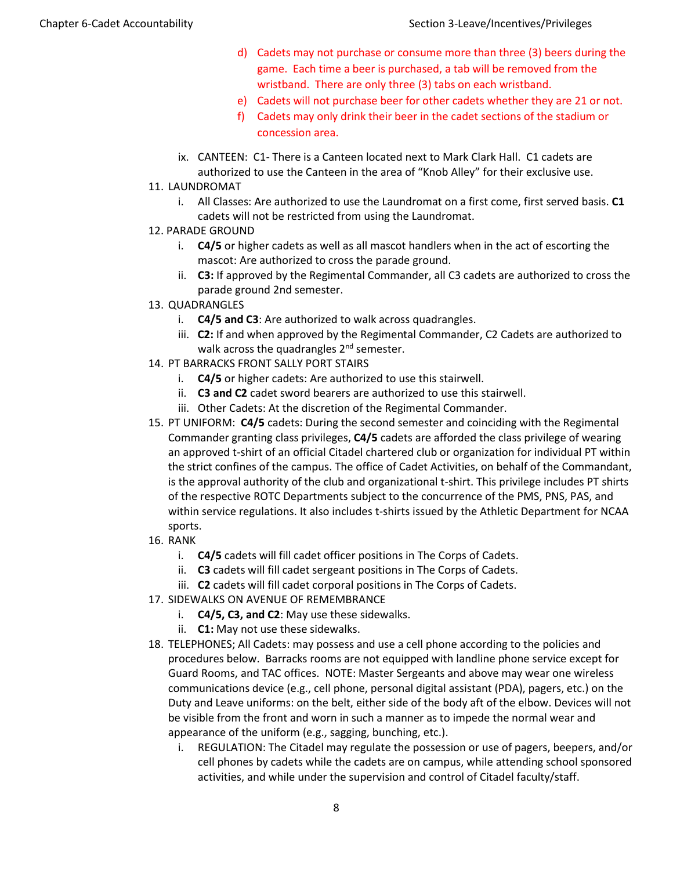- d) Cadets may not purchase or consume more than three (3) beers during the game. Each time a beer is purchased, a tab will be removed from the wristband. There are only three (3) tabs on each wristband.
- e) Cadets will not purchase beer for other cadets whether they are 21 or not.
- f) Cadets may only drink their beer in the cadet sections of the stadium or concession area.
- ix. CANTEEN: C1- There is a Canteen located next to Mark Clark Hall. C1 cadets are authorized to use the Canteen in the area of "Knob Alley" for their exclusive use.
- 11. LAUNDROMAT
	- i. All Classes: Are authorized to use the Laundromat on a first come, first served basis. **C1** cadets will not be restricted from using the Laundromat.
- 12. PARADE GROUND
	- i. **C4/5** or higher cadets as well as all mascot handlers when in the act of escorting the mascot: Are authorized to cross the parade ground.
	- ii. **C3:** If approved by the Regimental Commander, all C3 cadets are authorized to cross the parade ground 2nd semester.
- 13. QUADRANGLES
	- i. **C4/5 and C3**: Are authorized to walk across quadrangles.
	- iii. **C2:** If and when approved by the Regimental Commander, C2 Cadets are authorized to walk across the quadrangles  $2^{nd}$  semester.
- 14. PT BARRACKS FRONT SALLY PORT STAIRS
	- i. **C4/5** or higher cadets: Are authorized to use this stairwell.
	- ii. **C3 and C2** cadet sword bearers are authorized to use this stairwell.
	- iii. Other Cadets: At the discretion of the Regimental Commander.
- 15. PT UNIFORM: **C4/5** cadets: During the second semester and coinciding with the Regimental Commander granting class privileges, **C4/5** cadets are afforded the class privilege of wearing an approved t-shirt of an official Citadel chartered club or organization for individual PT within the strict confines of the campus. The office of Cadet Activities, on behalf of the Commandant, is the approval authority of the club and organizational t-shirt. This privilege includes PT shirts of the respective ROTC Departments subject to the concurrence of the PMS, PNS, PAS, and within service regulations. It also includes t-shirts issued by the Athletic Department for NCAA sports.
- 16. RANK
	- i. **C4/5** cadets will fill cadet officer positions in The Corps of Cadets.
	- ii. **C3** cadets will fill cadet sergeant positions in The Corps of Cadets.
	- iii. **C2** cadets will fill cadet corporal positions in The Corps of Cadets.
- 17. SIDEWALKS ON AVENUE OF REMEMBRANCE
	- i. **C4/5, C3, and C2**: May use these sidewalks.
	- ii. **C1:** May not use these sidewalks.
- 18. TELEPHONES; All Cadets: may possess and use a cell phone according to the policies and procedures below. Barracks rooms are not equipped with landline phone service except for Guard Rooms, and TAC offices. NOTE: Master Sergeants and above may wear one wireless communications device (e.g., cell phone, personal digital assistant (PDA), pagers, etc.) on the Duty and Leave uniforms: on the belt, either side of the body aft of the elbow. Devices will not be visible from the front and worn in such a manner as to impede the normal wear and appearance of the uniform (e.g., sagging, bunching, etc.).
	- i. REGULATION: The Citadel may regulate the possession or use of pagers, beepers, and/or cell phones by cadets while the cadets are on campus, while attending school sponsored activities, and while under the supervision and control of Citadel faculty/staff.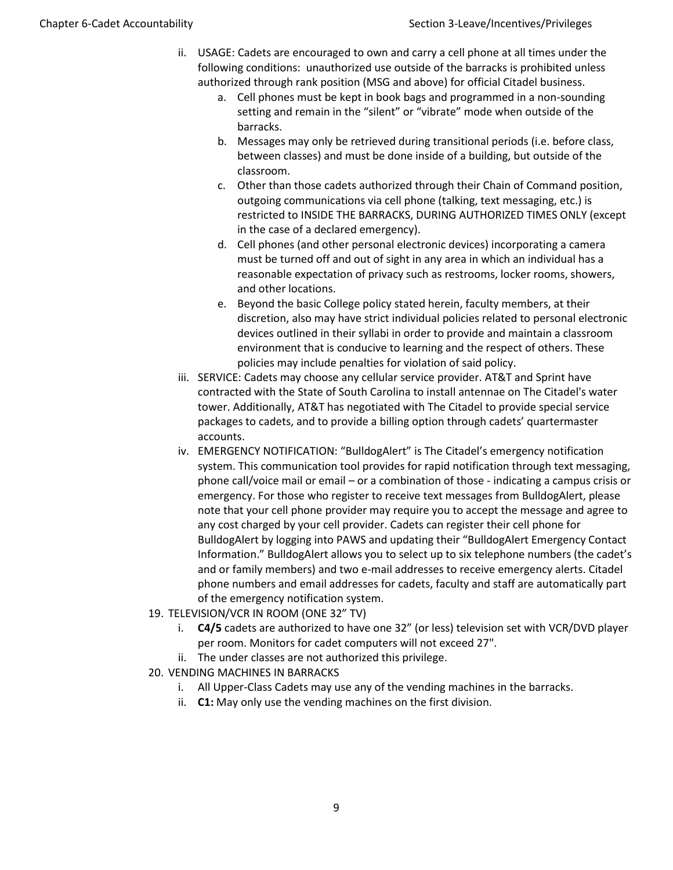- ii. USAGE: Cadets are encouraged to own and carry a cell phone at all times under the following conditions: unauthorized use outside of the barracks is prohibited unless authorized through rank position (MSG and above) for official Citadel business.
	- a. Cell phones must be kept in book bags and programmed in a non-sounding setting and remain in the "silent" or "vibrate" mode when outside of the barracks.
	- b. Messages may only be retrieved during transitional periods (i.e. before class, between classes) and must be done inside of a building, but outside of the classroom.
	- c. Other than those cadets authorized through their Chain of Command position, outgoing communications via cell phone (talking, text messaging, etc.) is restricted to INSIDE THE BARRACKS, DURING AUTHORIZED TIMES ONLY (except in the case of a declared emergency).
	- d. Cell phones (and other personal electronic devices) incorporating a camera must be turned off and out of sight in any area in which an individual has a reasonable expectation of privacy such as restrooms, locker rooms, showers, and other locations.
	- e. Beyond the basic College policy stated herein, faculty members, at their discretion, also may have strict individual policies related to personal electronic devices outlined in their syllabi in order to provide and maintain a classroom environment that is conducive to learning and the respect of others. These policies may include penalties for violation of said policy.
- iii. SERVICE: Cadets may choose any cellular service provider. AT&T and Sprint have contracted with the State of South Carolina to install antennae on The Citadel's water tower. Additionally, AT&T has negotiated with The Citadel to provide special service packages to cadets, and to provide a billing option through cadets' quartermaster accounts.
- iv. EMERGENCY NOTIFICATION: "BulldogAlert" is The Citadel's emergency notification system. This communication tool provides for rapid notification through text messaging, phone call/voice mail or email – or a combination of those - indicating a campus crisis or emergency. For those who register to receive text messages from BulldogAlert, please note that your cell phone provider may require you to accept the message and agree to any cost charged by your cell provider. Cadets can register their cell phone for BulldogAlert by logging into PAWS and updating their "BulldogAlert Emergency Contact Information." BulldogAlert allows you to select up to six telephone numbers (the cadet's and or family members) and two e-mail addresses to receive emergency alerts. Citadel phone numbers and email addresses for cadets, faculty and staff are automatically part of the emergency notification system.
- 19. TELEVISION/VCR IN ROOM (ONE 32" TV)
	- i. **C4/5** cadets are authorized to have one 32" (or less) television set with VCR/DVD player per room. Monitors for cadet computers will not exceed 27".
	- ii. The under classes are not authorized this privilege.
- 20. VENDING MACHINES IN BARRACKS
	- i. All Upper-Class Cadets may use any of the vending machines in the barracks.
	- ii. **C1:** May only use the vending machines on the first division.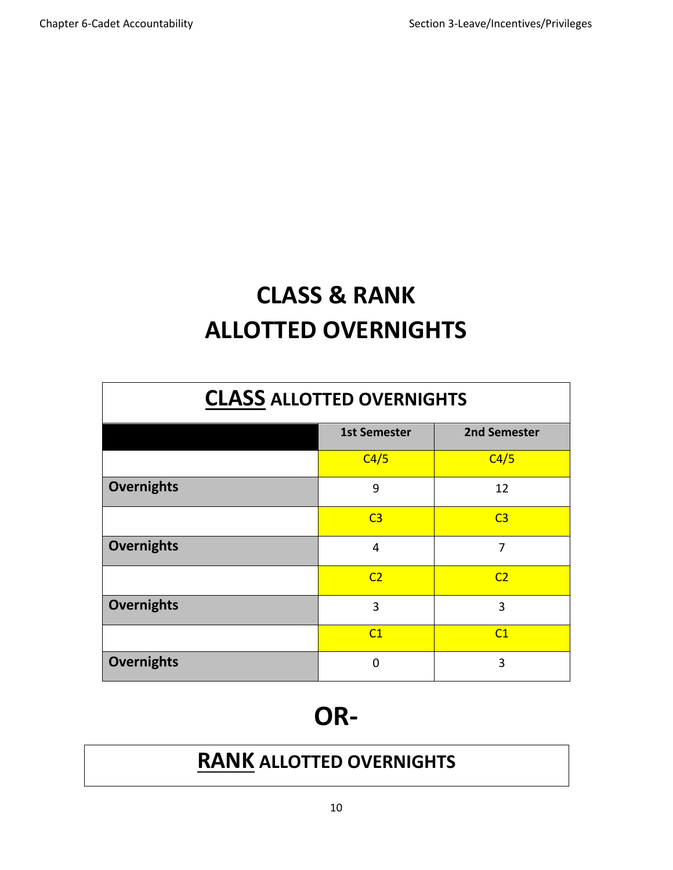## **CLASS & RANK ALLOTTED OVERNIGHTS**

## **CLASS ALLOTTED OVERNIGHTS**

|                   | <b>1st Semester</b> | 2nd Semester   |  |
|-------------------|---------------------|----------------|--|
|                   | C4/5                | C4/5           |  |
| Overnights        | 9                   | 12             |  |
|                   | C <sub>3</sub>      | C <sub>3</sub> |  |
| <b>Overnights</b> | $\overline{4}$      | 7              |  |
|                   | C <sub>2</sub>      | C <sub>2</sub> |  |
| <b>Overnights</b> | 3                   | 3              |  |
|                   | C1                  | C1             |  |
| <b>Overnights</b> | $\mathbf 0$         | 3              |  |

## **OR-**

## **RANK ALLOTTED OVERNIGHTS**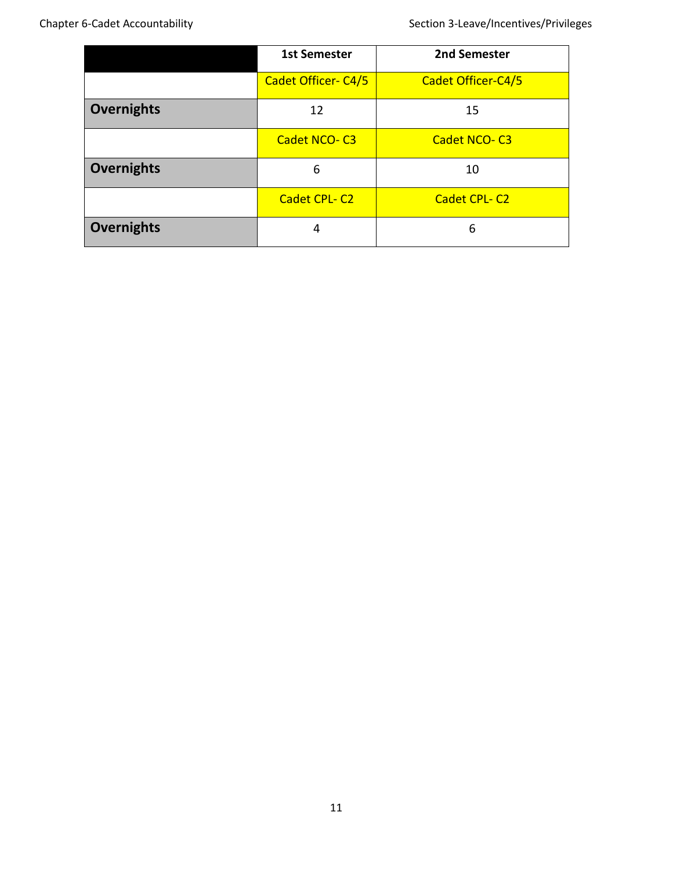|                   | <b>1st Semester</b>        | 2nd Semester        |  |  |
|-------------------|----------------------------|---------------------|--|--|
|                   | <b>Cadet Officer- C4/5</b> | Cadet Officer-C4/5  |  |  |
| <b>Overnights</b> | 12                         | 15                  |  |  |
|                   | <b>Cadet NCO-C3</b>        | Cadet NCO-C3        |  |  |
| <b>Overnights</b> | 6                          | 10                  |  |  |
|                   | <b>Cadet CPL-C2</b>        | <b>Cadet CPL-C2</b> |  |  |
| <b>Overnights</b> | 4                          | 6                   |  |  |